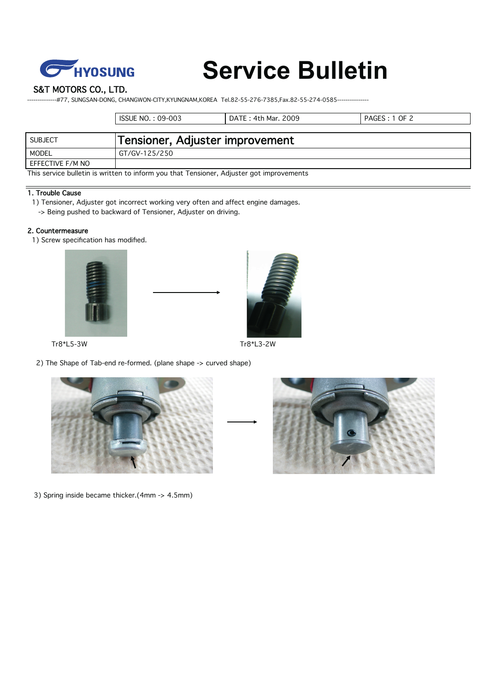

# **Service Bulletin**

S&T MOTORS CO., LTD.

---#77, SUNGSAN-DONG, CHANGWON-CITY,KYUNGNAM,KOREA Tel.82-55-276-7385,Fax.82-55-274-0585----

|                                                                                          | ISSUE NO. : 09-003              | DATE: 4th Mar. 2009 | PAGES: 1 OF 2 |  |
|------------------------------------------------------------------------------------------|---------------------------------|---------------------|---------------|--|
|                                                                                          |                                 |                     |               |  |
| SUBJECT                                                                                  | Tensioner, Adjuster improvement |                     |               |  |
| MODEL                                                                                    | GT/GV-125/250                   |                     |               |  |
| EFFECTIVE F/M NO                                                                         |                                 |                     |               |  |
| This service bulletin is written to inform you that Tensioner, Adjuster got improvements |                                 |                     |               |  |

#### 1. Trouble Cause

- 1) Tensioner, Adjuster got incorrect working very often and affect engine damages.
- -> Being pushed to backward of Tensioner, Adjuster on driving.

## 2. Countermeasure

1) Screw specification has modified.





2) The Shape of Tab-end re-formed. (plane shape -> curved shape)



3) Spring inside became thicker.(4mm -> 4.5mm)